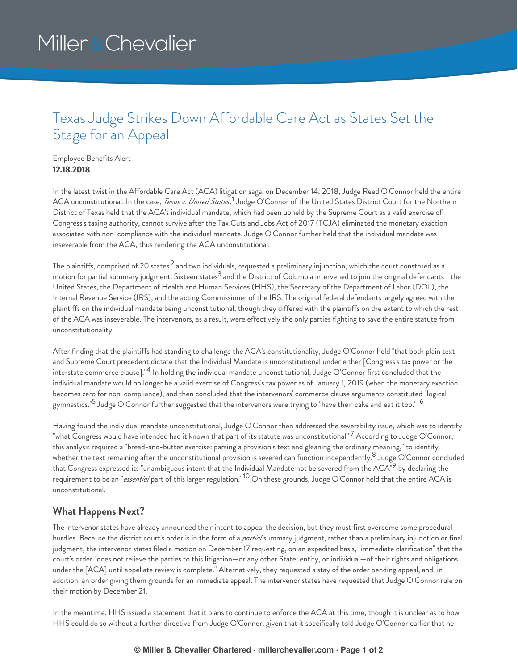# Miller & Chevalier

### Texas Judge Strikes Down Affordable Care Act as States Set the Stage for an Appeal

#### Employee Benefits Alert **12.18.2018**

In the latest twist in the Affordable Care Act (ACA) litigation saga, on December 14, 2018, Judge Reed O'Connor held the entire ACA unconstitutional. In the case, *Texas v. United States*,<sup>1</sup> Judge O'Connor of the United States District Court for the Northern District of Texas held that the ACA's individual mandate, which had been upheld by the Supreme Court as a valid exercise of Congress's taxing authority, cannot survive after the Tax Cuts and Jobs Act of 2017 (TCJA) eliminated the monetary exaction associated with non-compliance with the individual mandate. Judge O'Connor further held that the individual mandate was inseverable from the ACA, thus rendering the ACA unconstitutional.

The plaintiffs, comprised of 20 states  $^2$  and two individuals, requested a preliminary injunction, which the court construed as a motion for partial summary judgment. Sixteen states $^3$  and the District of Columbia intervened to join the original defendants—the United States, the Department of Health and Human Services (HHS), the Secretary of the Department of Labor (DOL), the Internal Revenue Service (IRS), and the acting Commissioner of the IRS. The original federal defendants largely agreed with the plaintiffs on the individual mandate being unconstitutional, though they differed with the plaintiffs on the extent to which the rest of the ACA was inseverable. The intervenors, as a result, were effectively the only parties fighting to save the entire statute from unconstitutionality.

After finding that the plaintiffs had standing to challenge the ACA's constitutionality, Judge O'Connor held "that both plain text and Supreme Court precedent dictate that the Individual Mandate is unconstitutional under either [Congress's tax power or the interstate commerce clause]." $^4$  In holding the individual mandate unconstitutional, Judge O'Connor first concluded that the individual mandate would no longer be a valid exercise of Congress's tax power as of January 1, 2019 (when the monetary exaction becomes zero for non-compliance), and then concluded that the intervenors' commerce clause arguments constituted "logical gymnastics."<sup>5</sup> Judge O'Connor further suggested that the intervenors were trying to "have their cake and eat it too." <sup>6</sup>

Having found the individual mandate unconstitutional, Judge O'Connor then addressed the severability issue, which was to identify "what Congress would have intended had it known that part of its statute was unconstitutional." $^7$  According to Judge O'Connor, this analysis required a "bread-and-butter exercise: parsing a provision's text and gleaning the ordinary meaning," to identify whether the text remaining after the unconstitutional provision is severed can function independently.<sup>8</sup> Judge O'Connor concluded that Congress expressed its "unambiguous intent that the Individual Mandate not be severed from the ACA<sup>r9</sup> by declaring the requirement to be an "*essential* part of this larger regulation."<sup>10</sup> On these grounds, Judge O'Connor held that the entire ACA is unconstitutional.

### **What Happens Next?**

The intervenor states have already announced their intent to appeal the decision, but they must first overcome some procedural hurdles. Because the district court's order is in the form of a *partial* summary judgment, rather than a preliminary injunction or final judgment, the intervenor states filed a motion on December 17 requesting, on an expedited basis, "immediate clarification" that the court's order "does not relieve the parties to this litigation—or any other State, entity, or individual—of their rights and obligations under the [ACA] until appellate review is complete." Alternatively, they requested a stay of the order pending appeal, and, in addition, an order giving them grounds for an immediate appeal. The intervenor states have requested that Judge O'Connor rule on their motion by December 21.

In the meantime, HHS issued a statement that it plans to continue to enforce the ACA at this time, though it is unclear as to how HHS could do so without a further directive from Judge O'Connor, given that it specifically told Judge O'Connor earlier that he